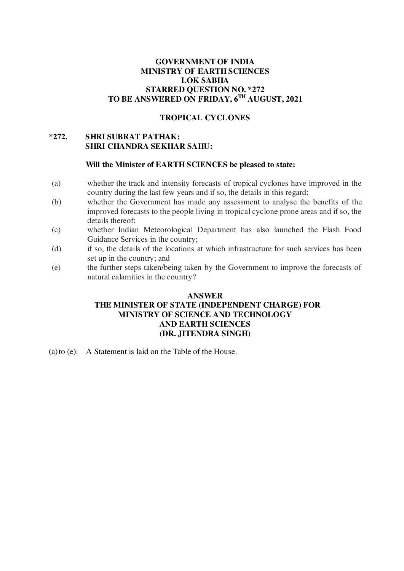# **GOVERNMENT OF INDIA MINISTRY OF EARTH SCIENCES LOK SABHA STARRED QUESTION NO. \*272 TO BE ANSWERED ON FRIDAY, 6 TH AUGUST, 2021**

# **TROPICAL CYCLONES**

# **\*272. SHRI SUBRAT PATHAK: SHRI CHANDRA SEKHAR SAHU:**

#### **Will the Minister of EARTH SCIENCES be pleased to state:**

- (a) whether the track and intensity forecasts of tropical cyclones have improved in the country during the last few years and if so, the details in this regard;
- (b) whether the Government has made any assessment to analyse the benefits of the improved forecasts to the people living in tropical cyclone prone areas and if so, the details thereof;
- (c) whether Indian Meteorological Department has also launched the Flash Food Guidance Services in the country;
- (d) if so, the details of the locations at which infrastructure for such services has been set up in the country; and
- (e) the further steps taken/being taken by the Government to improve the forecasts of natural calamities in the country?

# **ANSWER THE MINISTER OF STATE (INDEPENDENT CHARGE) FOR MINISTRY OF SCIENCE AND TECHNOLOGY AND EARTH SCIENCES (DR. JITENDRA SINGH)**

(a)to (e): A Statement is laid on the Table of the House.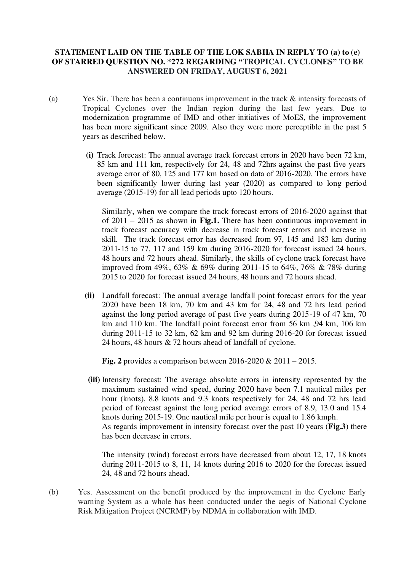# **STATEMENT LAID ON THE TABLE OF THE LOK SABHA IN REPLY TO (a) to (e) OF STARRED QUESTION NO. \*272 REGARDING "TROPICAL CYCLONES" TO BE ANSWERED ON FRIDAY, AUGUST 6, 2021**

- (a) Yes Sir. There has been a continuous improvement in the track & intensity forecasts of Tropical Cyclones over the Indian region during the last few years. Due to modernization programme of IMD and other initiatives of MoES, the improvement has been more significant since 2009. Also they were more perceptible in the past 5 years as described below.
	- **(i)** Track forecast: The annual average track forecast errors in 2020 have been 72 km, 85 km and 111 km, respectively for 24, 48 and 72hrs against the past five years average error of 80, 125 and 177 km based on data of 2016-2020. The errors have been significantly lower during last year (2020) as compared to long period average (2015-19) for all lead periods upto 120 hours.

Similarly, when we compare the track forecast errors of 2016-2020 against that of 2011 – 2015 as shown in **Fig.1.** There has been continuous improvement in track forecast accuracy with decrease in track forecast errors and increase in skill. The track forecast error has decreased from 97, 145 and 183 km during 2011-15 to 77, 117 and 159 km during 2016-2020 for forecast issued 24 hours, 48 hours and 72 hours ahead. Similarly, the skills of cyclone track forecast have improved from 49%, 63% & 69% during 2011-15 to 64%, 76% & 78% during 2015 to 2020 for forecast issued 24 hours, 48 hours and 72 hours ahead.

**(ii)** Landfall forecast: The annual average landfall point forecast errors for the year 2020 have been 18 km, 70 km and 43 km for 24, 48 and 72 hrs lead period against the long period average of past five years during 2015-19 of 47 km, 70 km and 110 km. The landfall point forecast error from 56 km ,94 km, 106 km during 2011-15 to 32 km, 62 km and 92 km during 2016-20 for forecast issued 24 hours, 48 hours & 72 hours ahead of landfall of cyclone.

**Fig. 2** provides a comparison between 2016-2020 & 2011 – 2015.

**(iii)** Intensity forecast: The average absolute errors in intensity represented by the maximum sustained wind speed, during 2020 have been 7.1 nautical miles per hour (knots), 8.8 knots and 9.3 knots respectively for 24, 48 and 72 hrs lead period of forecast against the long period average errors of 8.9, 13.0 and 15.4 knots during 2015-19. One nautical mile per hour is equal to 1.86 kmph. As regards improvement in intensity forecast over the past 10 years (**Fig.3**) there has been decrease in errors.

The intensity (wind) forecast errors have decreased from about 12, 17, 18 knots during 2011-2015 to 8, 11, 14 knots during 2016 to 2020 for the forecast issued 24, 48 and 72 hours ahead.

(b) Yes. Assessment on the benefit produced by the improvement in the Cyclone Early warning System as a whole has been conducted under the aegis of National Cyclone Risk Mitigation Project (NCRMP) by NDMA in collaboration with IMD.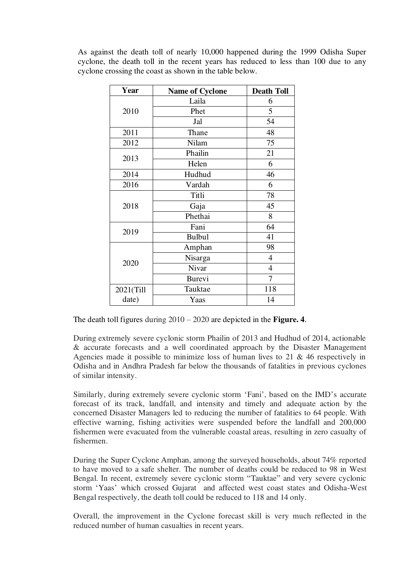| Year      | <b>Name of Cyclone</b> | <b>Death Toll</b> |
|-----------|------------------------|-------------------|
| 2010      | Laila                  | 6                 |
|           | Phet                   | 5                 |
|           | Jal                    | 54                |
| 2011      | Thane                  | 48                |
| 2012      | Nilam                  | 75                |
| 2013      | Phailin                | 21                |
|           | Helen                  | 6                 |
| 2014      | Hudhud                 | 46                |
| 2016      | Vardah                 | 6                 |
| 2018      | Titli                  | 78                |
|           | Gaja                   | 45                |
|           | Phethai                | 8                 |
| 2019      | Fani                   | 64                |
|           | <b>Bulbul</b>          | 41                |
| 2020      | Amphan                 | 98                |
|           | Nisarga                | 4                 |
|           | Nivar                  | $\overline{4}$    |
|           | <b>Burevi</b>          | 7                 |
| 2021(Till | Tauktae                | 118               |
| date)     | Yaas                   | 14                |

As against the death toll of nearly 10,000 happened during the 1999 Odisha Super cyclone, the death toll in the recent years has reduced to less than 100 due to any cyclone crossing the coast as shown in the table below.

The death toll figures during 2010 – 2020 are depicted in the **Figure. 4**.

During extremely severe cyclonic storm Phailin of 2013 and Hudhud of 2014, actionable & accurate forecasts and a well coordinated approach by the Disaster Management Agencies made it possible to minimize loss of human lives to 21  $\&$  46 respectively in Odisha and in Andhra Pradesh far below the thousands of fatalities in previous cyclones of similar intensity.

Similarly, during extremely severe cyclonic storm 'Fani', based on the IMD's accurate forecast of its track, landfall, and intensity and timely and adequate action by the concerned Disaster Managers led to reducing the number of fatalities to 64 people. With effective warning, fishing activities were suspended before the landfall and 200,000 fishermen were evacuated from the vulnerable coastal areas, resulting in zero casualty of fishermen.

During the Super Cyclone Amphan, among the surveyed households, about 74% reported to have moved to a safe shelter. The number of deaths could be reduced to 98 in West Bengal. In recent, extremely severe cyclonic storm "Tauktae" and very severe cyclonic storm 'Yaas' which crossed Gujarat and affected west coast states and Odisha-West Bengal respectively, the death toll could be reduced to 118 and 14 only.

Overall, the improvement in the Cyclone forecast skill is very much reflected in the reduced number of human casualties in recent years.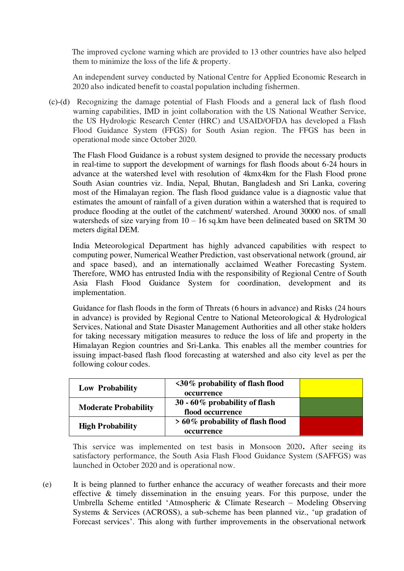The improved cyclone warning which are provided to 13 other countries have also helped them to minimize the loss of the life & property.

An independent survey conducted by National Centre for Applied Economic Research in 2020 also indicated benefit to coastal population including fishermen.

(c)-(d)Recognizing the damage potential of Flash Floods and a general lack of flash flood warning capabilities, IMD in joint collaboration with the US National Weather Service, the US Hydrologic Research Center (HRC) and USAID/OFDA has developed a Flash Flood Guidance System (FFGS) for South Asian region. The FFGS has been in operational mode since October 2020.

The Flash Flood Guidance is a robust system designed to provide the necessary products in real-time to support the development of warnings for flash floods about 6-24 hours in advance at the watershed level with resolution of 4kmx4km for the Flash Flood prone South Asian countries viz. India, Nepal, Bhutan, Bangladesh and Sri Lanka, covering most of the Himalayan region. The flash flood guidance value is a diagnostic value that estimates the amount of rainfall of a given duration within a watershed that is required to produce flooding at the outlet of the catchment/ watershed. Around 30000 nos. of small watersheds of size varying from  $10 - 16$  sq.km have been delineated based on SRTM 30 meters digital DEM.

India Meteorological Department has highly advanced capabilities with respect to computing power, Numerical Weather Prediction, vast observational network (ground, air and space based), and an internationally acclaimed Weather Forecasting System. Therefore, WMO has entrusted India with the responsibility of Regional Centre of South Asia Flash Flood Guidance System for coordination, development and its implementation.

Guidance for flash floods in the form of Threats (6 hours in advance) and Risks (24 hours in advance) is provided by Regional Centre to National Meteorological & Hydrological Services, National and State Disaster Management Authorities and all other stake holders for taking necessary mitigation measures to reduce the loss of life and property in the Himalayan Region countries and Sri-Lanka. This enables all the member countries for issuing impact-based flash flood forecasting at watershed and also city level as per the following colour codes.

| <b>Low Probability</b>      | $\langle 30\%$ probability of flash flood<br>occurrence |  |
|-----------------------------|---------------------------------------------------------|--|
| <b>Moderate Probability</b> | 30 - 60% probability of flash<br>flood occurrence       |  |
| <b>High Probability</b>     | > 60% probability of flash flood<br>occurrence          |  |

This service was implemented on test basis in Monsoon 2020**.** After seeing its satisfactory performance, the South Asia Flash Flood Guidance System (SAFFGS) was launched in October 2020 and is operational now.

(e)It is being planned to further enhance the accuracy of weather forecasts and their more effective & timely dissemination in the ensuing years. For this purpose, under the Umbrella Scheme entitled 'Atmospheric & Climate Research – Modeling Observing Systems & Services (ACROSS), a sub-scheme has been planned viz., 'up gradation of Forecast services'. This along with further improvements in the observational network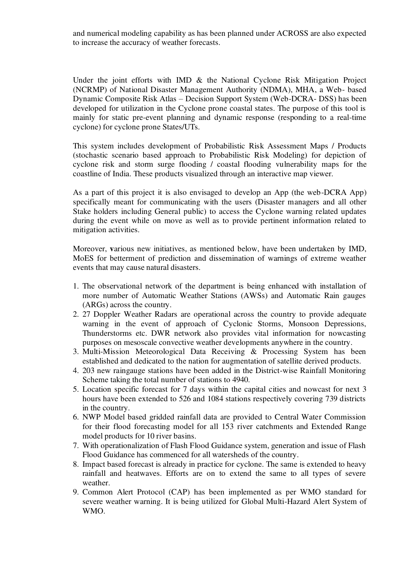and numerical modeling capability as has been planned under ACROSS are also expected to increase the accuracy of weather forecasts.

Under the joint efforts with IMD & the National Cyclone Risk Mitigation Project (NCRMP) of National Disaster Management Authority (NDMA), MHA, a Web- based Dynamic Composite Risk Atlas – Decision Support System (Web-DCRA- DSS) has been developed for utilization in the Cyclone prone coastal states. The purpose of this tool is mainly for static pre-event planning and dynamic response (responding to a real-time cyclone) for cyclone prone States/UTs.

This system includes development of Probabilistic Risk Assessment Maps / Products (stochastic scenario based approach to Probabilistic Risk Modeling) for depiction of cyclone risk and storm surge flooding / coastal flooding vulnerability maps for the coastline of India. These products visualized through an interactive map viewer.

As a part of this project it is also envisaged to develop an App (the web-DCRA App) specifically meant for communicating with the users (Disaster managers and all other Stake holders including General public) to access the Cyclone warning related updates during the event while on move as well as to provide pertinent information related to mitigation activities.

Moreover, **v**arious new initiatives, as mentioned below, have been undertaken by IMD, MoES for betterment of prediction and dissemination of warnings of extreme weather events that may cause natural disasters.

- 1. The observational network of the department is being enhanced with installation of more number of Automatic Weather Stations (AWSs) and Automatic Rain gauges (ARGs) across the country.
- 2. 27 Doppler Weather Radars are operational across the country to provide adequate warning in the event of approach of Cyclonic Storms, Monsoon Depressions, Thunderstorms etc. DWR network also provides vital information for nowcasting purposes on mesoscale convective weather developments anywhere in the country.
- 3. Multi-Mission Meteorological Data Receiving & Processing System has been established and dedicated to the nation for augmentation of satellite derived products.
- 4. 203 new raingauge stations have been added in the District-wise Rainfall Monitoring Scheme taking the total number of stations to 4940.
- 5. Location specific forecast for 7 days within the capital cities and nowcast for next 3 hours have been extended to 526 and 1084 stations respectively covering 739 districts in the country.
- 6. NWP Model based gridded rainfall data are provided to Central Water Commission for their flood forecasting model for all 153 river catchments and Extended Range model products for 10 river basins.
- 7. With operationalization of Flash Flood Guidance system, generation and issue of Flash Flood Guidance has commenced for all watersheds of the country.
- 8. Impact based forecast is already in practice for cyclone. The same is extended to heavy rainfall and heatwaves. Efforts are on to extend the same to all types of severe weather.
- 9. Common Alert Protocol (CAP) has been implemented as per WMO standard for severe weather warning. It is being utilized for Global Multi-Hazard Alert System of WMO.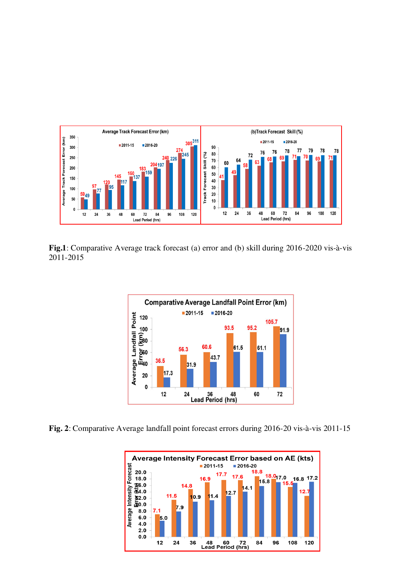

**Fig.1**: Comparative Average track forecast (a) error and (b) skill during 2016-2020 vis-à-vis 2011-2015



**Fig. 2**: Comparative Average landfall point forecast errors during 2016-20 vis-à-vis 2011-15